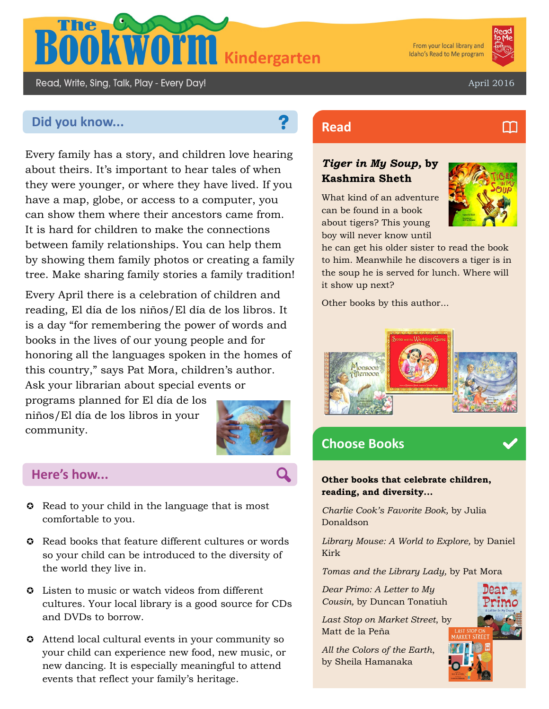

From your local library and Idaho's Read to Me program

M

Read, Write, Sing, Talk, Play - Every Day!

April 2016

# **Did you know... Read Read**

Every family has a story, and children love hearing about theirs. It's important to hear tales of when they were younger, or where they have lived. If you have a map, globe, or access to a computer, you can show them where their ancestors came from. It is hard for children to make the connections between family relationships. You can help them by showing them family photos or creating a family tree. Make sharing family stories a family tradition!

Every April there is a celebration of children and reading, El día de los niños/El día de los libros. It is a day "for remembering the power of words and books in the lives of our young people and for honoring all the languages spoken in the homes of this country," says Pat Mora, children's author. Ask your librarian about special events or

programs planned for El día de los niños/El día de los libros in your community.



## **Here's how...**

- $\odot$  Read to your child in the language that is most comfortable to you.
- **C** Read books that feature different cultures or words so your child can be introduced to the diversity of the world they live in.
- $\odot$  Listen to music or watch videos from different cultures. Your local library is a good source for CDs and DVDs to borrow.
- Attend local cultural events in your community so your child can experience new food, new music, or new dancing. It is especially meaningful to attend events that reflect your family's heritage.

## *Tiger in My Soup,* **by Kashmira Sheth**

What kind of an adventure can be found in a book about tigers? This young boy will never know until



he can get his older sister to read the book to him. Meanwhile he discovers a tiger is in the soup he is served for lunch. Where will it show up next?

Other books by this author...



## **Choose Books**

**Other books that celebrate children, reading, and diversity...**

*Charlie Cook's Favorite Book,* by Julia Donaldson

*Library Mouse: A World to Explore,* by Daniel Kirk

*Tomas and the Library Lady,* by Pat Mora

*Dear Primo: A Letter to My Cousin,* by Duncan Tonatiuh

*Last Stop on Market Street*, by Matt de la Peña

*All the Colors of the Earth*, by Sheila Hamanaka

![](_page_0_Picture_30.jpeg)